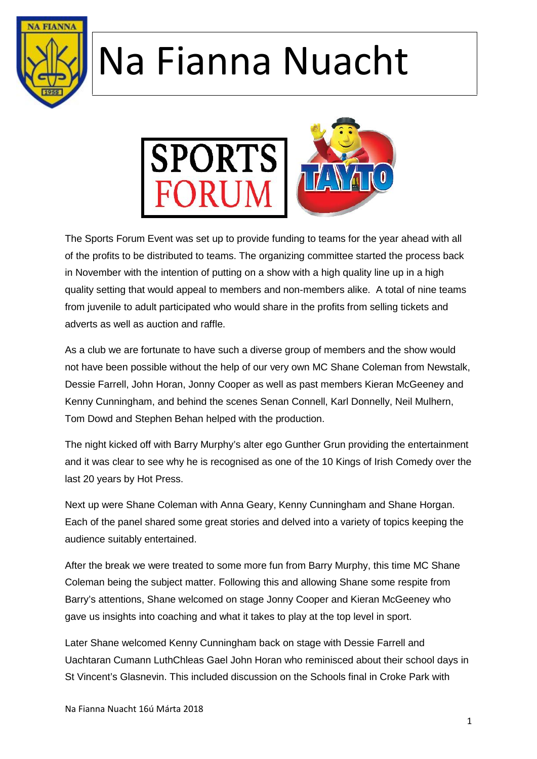



The Sports Forum Event was set up to provide funding to teams for the year ahead with all of the profits to be distributed to teams. The organizing committee started the process back in November with the intention of putting on a show with a high quality line up in a high quality setting that would appeal to members and non-members alike. A total of nine teams from juvenile to adult participated who would share in the profits from selling tickets and adverts as well as auction and raffle.

As a club we are fortunate to have such a diverse group of members and the show would not have been possible without the help of our very own MC Shane Coleman from Newstalk, Dessie Farrell, John Horan, Jonny Cooper as well as past members Kieran McGeeney and Kenny Cunningham, and behind the scenes Senan Connell, Karl Donnelly, Neil Mulhern, Tom Dowd and Stephen Behan helped with the production.

The night kicked off with Barry Murphy's alter ego Gunther Grun providing the entertainment and it was clear to see why he is recognised as one of the 10 Kings of Irish Comedy over the last 20 years by Hot Press.

Next up were Shane Coleman with Anna Geary, Kenny Cunningham and Shane Horgan. Each of the panel shared some great stories and delved into a variety of topics keeping the audience suitably entertained.

After the break we were treated to some more fun from Barry Murphy, this time MC Shane Coleman being the subject matter. Following this and allowing Shane some respite from Barry's attentions, Shane welcomed on stage Jonny Cooper and Kieran McGeeney who gave us insights into coaching and what it takes to play at the top level in sport.

Later Shane welcomed Kenny Cunningham back on stage with Dessie Farrell and Uachtaran Cumann LuthChleas Gael John Horan who reminisced about their school days in St Vincent's Glasnevin. This included discussion on the Schools final in Croke Park with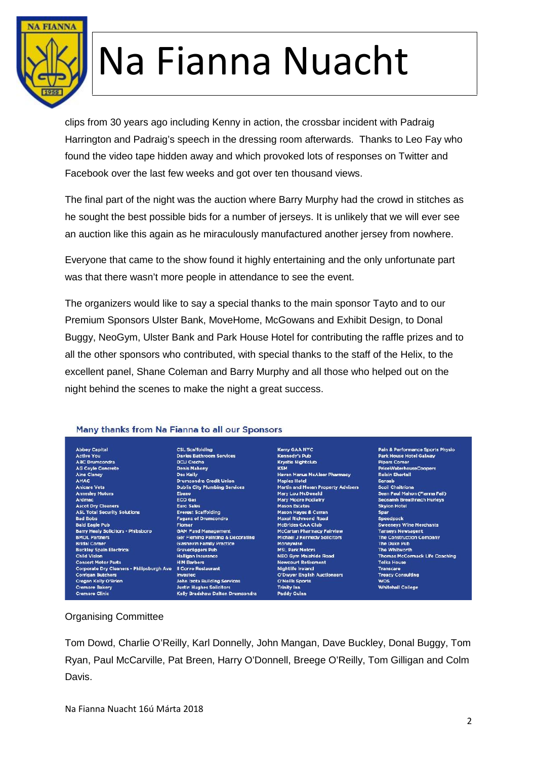

clips from 30 years ago including Kenny in action, the crossbar incident with Padraig Harrington and Padraig's speech in the dressing room afterwards. Thanks to Leo Fay who found the video tape hidden away and which provoked lots of responses on Twitter and Facebook over the last few weeks and got over ten thousand views.

The final part of the night was the auction where Barry Murphy had the crowd in stitches as he sought the best possible bids for a number of jerseys. It is unlikely that we will ever see an auction like this again as he miraculously manufactured another jersey from nowhere.

Everyone that came to the show found it highly entertaining and the only unfortunate part was that there wasn't more people in attendance to see the event.

The organizers would like to say a special thanks to the main sponsor Tayto and to our Premium Sponsors Ulster Bank, MoveHome, McGowans and Exhibit Design, to Donal Buggy, NeoGym, Ulster Bank and Park House Hotel for contributing the raffle prizes and to all the other sponsors who contributed, with special thanks to the staff of the Helix, to the excellent panel, Shane Coleman and Barry Murphy and all those who helped out on the night behind the scenes to make the night a great success.

#### Many thanks from Na Fianna to all our Sponsors

Abbey Capital<br>Active You **ABC Drumcondra** AG Coyle Concrete **Aine Clancy** AMAC **Anicare Vets Annesley Motors** Ardmac **Ascot Dry Cleaners ASL Total Security Solutions Bad Bobs Bald Eagle Pub** Barry Healy Solicitors - Phibsboro **BMOL Partners Bridal Corner Buckley Spain Electrical Child Vision Consort Motor Parts** Corporate Dry Cleaners - Philipsburgh Ave II Corvo Restaurant **Corrigan Butchers** Cregan Kelly O'Brien Cremore Bakery **Cremore Clinic** 

**CSL Scaffolding** Davies Bathroom Services **DCU Creche Denis Mahony** Des Kelly<br>Drumcondra Credit Union **Dublin City Plumbing Services** Ebano **ECO Gas** Euro Sales Everest Scaffolding **Fagans of Drumco** .<br>adra **Flomar GAM Fund Management** Ger Fleming Painting & Decorating **Glasnevin Family Practice Gravediggers Pub** Halligan Insurance<br>HIM Barbers Invested John Izota Building Services Justin Hughes Solicito

Kelly Bradshaw Dalton Drumcondra

Kerry GAA NYC **Kennedy's Pub** Krystie Nightclub<br>KSM **Haven Manus McAleer Pharmacy Maples Hotel** Martin and Moran Property Advisers Mary Lou McDonald **Mary Moore Podiatry Mason Estates** Mason Hayes & Curran Maxel Richmond Road<br>McBrides CAA Club McCartan Pharmacy Fairview Michael J Kennedy Solicitors Moneywise<br>MSL Park Motors **NEO Gym Malahide Road**<br>Newcourt Retirement **Nightlife Ireland<br>O'Dwyer Engilsh Auctioneers O'Neills Sports Trinity Inn** 

Pain & Performance Sports Physio<br>Park House Hotel Galway **Pipers Corner** PriceWaterhouseCoopers **Roisin Shortall** Sansab Scoil Chaitríona Sean Paul Mahon (Fianna Fail) **Seosamh Breathnach Hurleys Skylon Hotel** Spar Speedpack Sweeneys Wine Merchants Tanseys Newsegent<br>Tanseys Newsegent<br>The Construction Company The Duke Pub The Whitworth Thomas McCormack Life Coaching Tolka House Transcare **Treacy Consulting WDS Whitehall College** 

Organising Committee

Tom Dowd, Charlie O'Reilly, Karl Donnelly, John Mangan, Dave Buckley, Donal Buggy, Tom Ryan, Paul McCarville, Pat Breen, Harry O'Donnell, Breege O'Reilly, Tom Gilligan and Colm Davis.

**Paddy Quinn**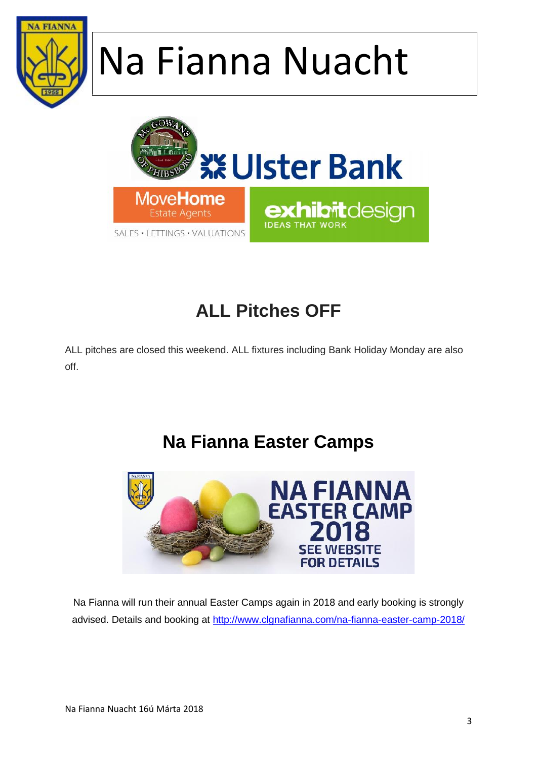



### **ALL Pitches OFF**

ALL pitches are closed this weekend. ALL fixtures including Bank Holiday Monday are also off.

#### **Na Fianna Easter Camps**



Na Fianna will run their annual Easter Camps again in 2018 and early booking is strongly advised. Details and booking at http://www.clgnafianna.com/na-fianna-easter-camp-2018/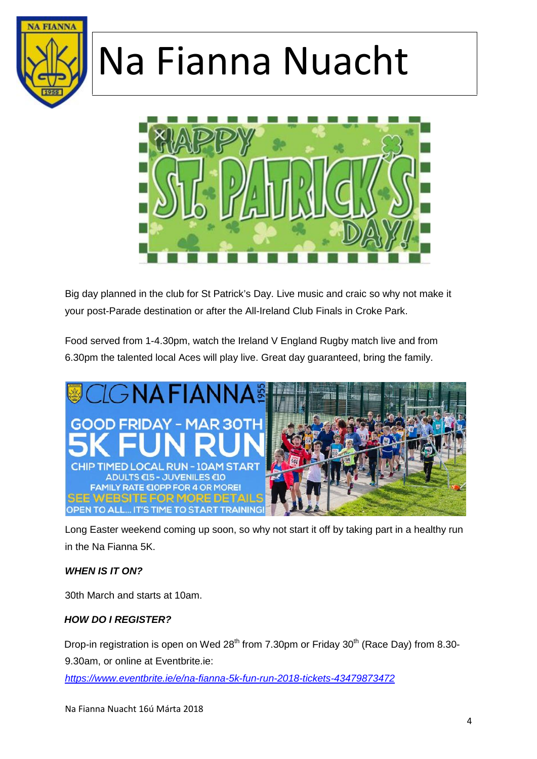



Big day planned in the club for St Patrick's Day. Live music and craic so why not make it your post-Parade destination or after the All-Ireland Club Finals in Croke Park.

Food served from 1-4.30pm, watch the Ireland V England Rugby match live and from 6.30pm the talented local Aces will play live. Great day guaranteed, bring the family.



Long Easter weekend coming up soon, so why not start it off by taking part in a healthy run in the Na Fianna 5K.

#### *WHEN IS IT ON?*

30th March and starts at 10am.

#### *HOW DO I REGISTER?*

Drop-in registration is open on Wed  $28<sup>th</sup>$  from 7.30pm or Friday 30<sup>th</sup> (Race Day) from 8.30-

9.30am, or online at Eventbrite.ie:

*https://www.eventbrite.ie/e/na-fianna-5k-fun-run-2018-tickets-43479873472*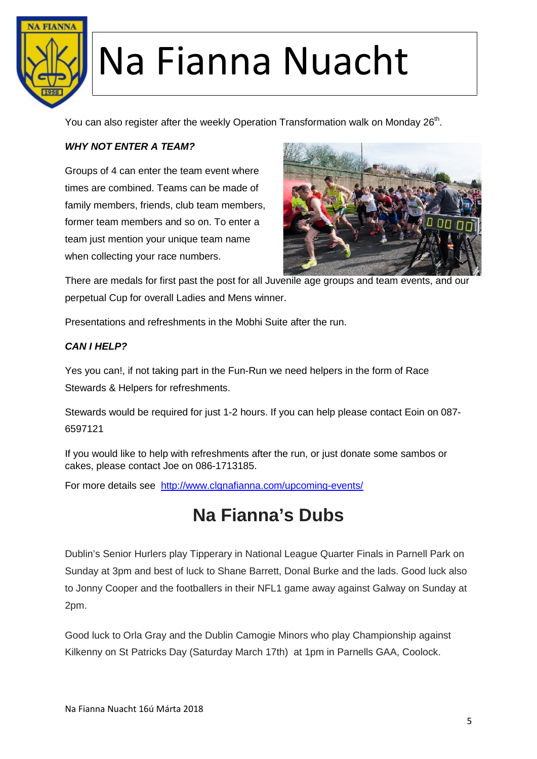

You can also register after the weekly Operation Transformation walk on Monday 26<sup>th</sup>.

#### *WHY NOT ENTER A TEAM?*

Groups of 4 can enter the team event where times are combined. Teams can be made of family members, friends, club team members, former team members and so on. To enter a team just mention your unique team name when collecting your race numbers.



There are medals for first past the post for all Juvenile age groups and team events, and our perpetual Cup for overall Ladies and Mens winner.

Presentations and refreshments in the Mobhi Suite after the run.

#### *CAN I HELP?*

Yes you can!, if not taking part in the Fun-Run we need helpers in the form of Race Stewards & Helpers for refreshments.

Stewards would be required for just 1-2 hours. If you can help please contact Eoin on 087- 6597121

If you would like to help with refreshments after the run, or just donate some sambos or cakes, please contact Joe on 086-1713185.

For more details see http://www.clgnafianna.com/upcoming-events/

#### **Na Fianna's Dubs**

Dublin's Senior Hurlers play Tipperary in National League Quarter Finals in Parnell Park on Sunday at 3pm and best of luck to Shane Barrett, Donal Burke and the lads. Good luck also to Jonny Cooper and the footballers in their NFL1 game away against Galway on Sunday at 2pm.

Good luck to Orla Gray and the Dublin Camogie Minors who play Championship against Kilkenny on St Patricks Day (Saturday March 17th) at 1pm in Parnells GAA, Coolock.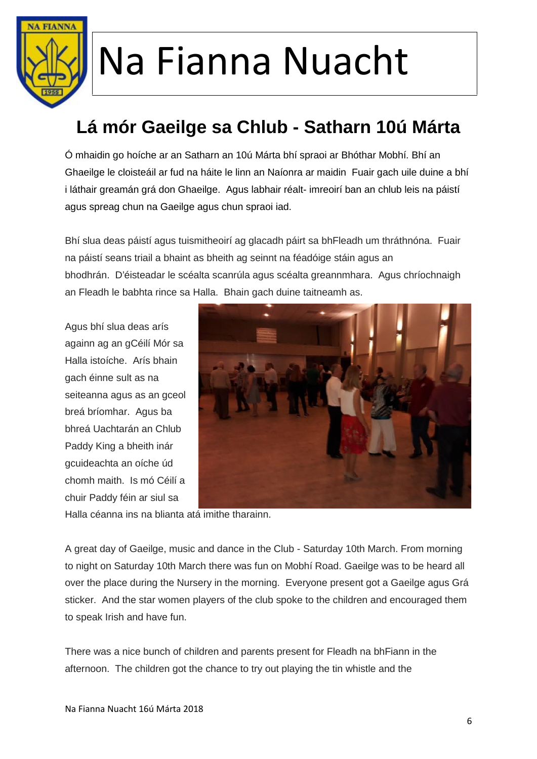

### **Lá mór Gaeilge sa Chlub - Satharn 10ú Márta**

Ó mhaidin go hoíche ar an Satharn an 10ú Márta bhí spraoi ar Bhóthar Mobhí. Bhí an Ghaeilge le cloisteáil ar fud na háite le linn an Naíonra ar maidin Fuair gach uile duine a bhí i láthair greamán grá don Ghaeilge. Agus labhair réalt- imreoirí ban an chlub leis na páistí agus spreag chun na Gaeilge agus chun spraoi iad.

Bhí slua deas páistí agus tuismitheoirí ag glacadh páirt sa bhFleadh um thráthnóna. Fuair na páistí seans triail a bhaint as bheith ag seinnt na féadóige stáin agus an bhodhrán. D'éisteadar le scéalta scanrúla agus scéalta greannmhara. Agus chríochnaigh an Fleadh le babhta rince sa Halla. Bhain gach duine taitneamh as.

Agus bhí slua deas arís againn ag an gCéilí Mór sa Halla istoíche. Arís bhain gach éinne sult as na seiteanna agus as an gceol breá bríomhar. Agus ba bhreá Uachtarán an Chlub Paddy King a bheith inár gcuideachta an oíche úd chomh maith. Is mó Céilí a chuir Paddy féin ar siul sa



Halla céanna ins na blianta atá imithe tharainn.

A great day of Gaeilge, music and dance in the Club - Saturday 10th March. From morning to night on Saturday 10th March there was fun on Mobhí Road. Gaeilge was to be heard all over the place during the Nursery in the morning. Everyone present got a Gaeilge agus Grá sticker. And the star women players of the club spoke to the children and encouraged them to speak Irish and have fun.

There was a nice bunch of children and parents present for Fleadh na bhFiann in the afternoon. The children got the chance to try out playing the tin whistle and the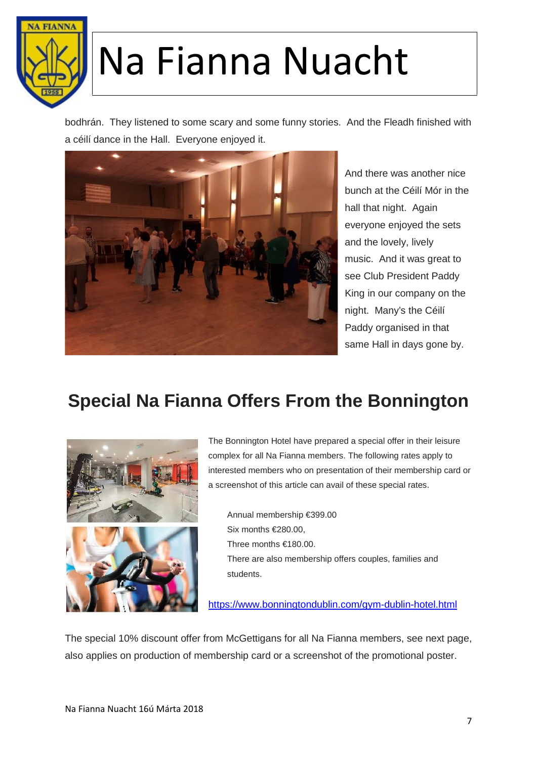

bodhrán. They listened to some scary and some funny stories. And the Fleadh finished with a céilí dance in the Hall. Everyone enjoyed it.



And there was another nice bunch at the Céilí Mór in the hall that night. Again everyone enjoyed the sets and the lovely, lively music. And it was great to see Club President Paddy King in our company on the night. Many's the Céilí Paddy organised in that same Hall in days gone by.

#### **Special Na Fianna Offers From the Bonnington**



The Bonnington Hotel have prepared a special offer in their leisure complex for all Na Fianna members. The following rates apply to interested members who on presentation of their membership card or a screenshot of this article can avail of these special rates.

Annual membership €399.00 Six months €280.00, Three months €180.00. There are also membership offers couples, families and students.

https://www.bonningtondublin.com/gym-dublin-hotel.html

The special 10% discount offer from McGettigans for all Na Fianna members, see next page, also applies on production of membership card or a screenshot of the promotional poster.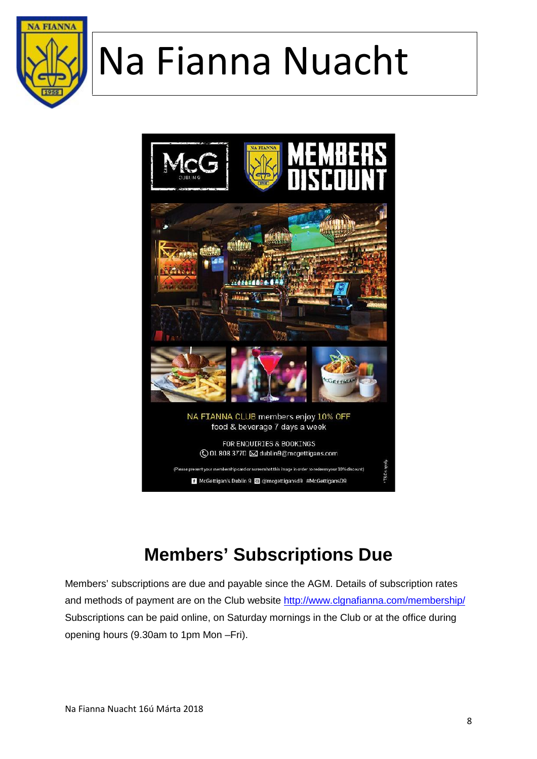



### **Members' Subscriptions Due**

Members' subscriptions are due and payable since the AGM. Details of subscription rates and methods of payment are on the Club website http://www.clgnafianna.com/membership/ Subscriptions can be paid online, on Saturday mornings in the Club or at the office during opening hours (9.30am to 1pm Mon –Fri).